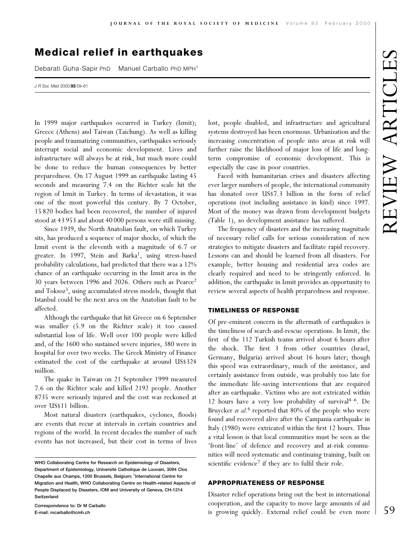# **Medical relief in earthquakes**

Debarati Guha-Sapir PhD Manuel Carballo PhD MPH<sup>1</sup>

J R Soc Med 2000;93:59-61

In 1999 major earthquakes occurred in Turkey (Izmit); Greece (Athens) and Taiwan (Taichung). As well as killing people and traumatizing communities, earthquakes seriously interrupt social and economic development. Lives and infrastructure will always be at risk, but much more could be done to reduce the human consequences by better preparedness. On 17 August 1999 an earthquake lasting 45 seconds and measuring 7.4 on the Richter scale hit the region of Izmit in Turkey. In terms of devastation, it was one of the most powerful this century. By 7 October, 15 820 bodies had been recovered, the number of injured stood at 43 953 and about 40 000 persons were still missing.

Since 1939, the North Anatolian fault, on which Turkey sits, has produced a sequence of major shocks, of which the Izmit event is the eleventh with a magnitude of 6.7 or greater. In 1997, Stein and Barka<sup>1</sup>, using stress-based probability calculations, had predicted that there was a 12% chance of an earthquake occurring in the Izmit area in the 30 years between 1996 and 2026. Others such as Pearce<sup>2</sup> and Toksoz<sup>3</sup>, using accumulated stress models, thought that Istanbul could be the next area on the Anatolian fault to be affected.

Although the earthquake that hit Greece on 6 September was smaller (5.9 on the Richter scale) it too caused substantial loss of life. Well over 100 people were killed and, of the 1600 who sustained severe injuries, 380 were in hospital for over two weeks. The Greek Ministry of Finance estimated the cost of the earthquake at around US\$324 million.

The quake in Taiwan on 21 September 1999 measured 7.6 on the Richter scale and killed 2192 people. Another 8735 were seriously injured and the cost was reckoned at over US\$11 billion.

Most natural disasters (earthquakes, cyclones, floods) are events that recur at intervals in certain countries and regions of the world. In recent decades the number of such events has not increased, but their cost in terms of lives

Correspondence to: Dr M Carballo E-mail: mcarballo@icmh.ch

lost, people disabled, and infrastructure and agricultural systems destroyed has been enormous. Urbanization and the increasing concentration of people into areas at risk will further raise the likelihood of major loss of life and longterm compromise of economic development. This is especially the case in poor countries.

Faced with humanitarian crises and disasters affecting ever larger numbers of people, the international community has donated over US\$7.3 billion in the form of relief operations (not including assistance in kind) since 1997. Most of the money was drawn from development budgets (Table 1), so development assistance has suffered.

The frequency of disasters and the increasing magnitude of necessary relief calls for serious consideration of new strategies to mitigate disasters and facilitate rapid recovery. Lessons can and should be learned from all disasters. For example, better housing and residential area codes are clearly required and need to be stringently enforced. In addition, the earthquake in Izmit provides an opportunity to review several aspects of health preparedness and response.

## **TIMELINESS OF RESPONSE**

Of pre-eminent concern in the aftermath of earthquakes is the timeliness of search-and-rescue operations. In Izmit, the first of the 112 Turkish teams arrived about 6 hours after the shock. The first 3 from other countries (Israel, Germany, Bulgaria) arrived about 16 hours later; though this speed was extraordinary, much of the assistance, and certainly assistance from outside, was probably too late for the immediate life-saving interventions that are required after an earthquake. Victims who are not extricated within 12 hours have a very low probability of survival<sup>4-6</sup>. De Bruycker et al.<sup>6</sup> reported that 80% of the people who were found and recovered alive after the Campania earthquake in Italy (1980) were extricated within the first 12 hours. Thus a vital lesson is that local communities must be seen as the 'front-line' of defence and recovery and at-risk communities will need systematic and continuing training, built on scientific evidence<sup>7</sup> if they are to fulfil their role.

#### **APPROPRIATENESS OF RESPONSE**

Disaster relief operations bring out the best in international cooperation, and the capacity to move large amounts of aid is growing quickly. External relief could be even more

WHO Collaborating Centre for Research on Epidemiology of Disasters, Department of Epidemiology, Université Catholique de Louvain, 3094 Clos Chapelle aux Champs, 1200 Brussels, Belgium; 1International Centre for Migration and Health, WHO Collaborating Centre on Health-related Aspects of People Displaced by Disasters, IOM and University of Geneva, CH-1214 Switzerland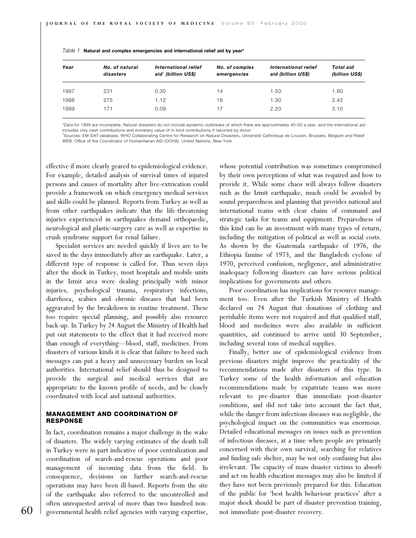| Year | No. of natural<br>disasters | International relief<br>aid <sup>†</sup> (billion US\$) | No. of complex<br>emergencies | International relief<br>aid (billion US\$) | Total aid<br>(billion US\$) |
|------|-----------------------------|---------------------------------------------------------|-------------------------------|--------------------------------------------|-----------------------------|
| 1997 | 231                         | 0.30                                                    | 14                            | 1.50                                       | 1.80                        |
| 1998 | 275                         | 1.12                                                    | 18                            | 1.30                                       | 2.42                        |
| 1999 | 171                         | 0.09                                                    | 17                            | 2.20                                       | 3.10                        |

|  |  | Table 1 Natural and complex emergencies and international relief aid by year* |  |  |
|--|--|-------------------------------------------------------------------------------|--|--|
|--|--|-------------------------------------------------------------------------------|--|--|

\*Data for 1999 are incomplete. Natural disasters do not include epidemic outbreaks of which there are approximately 40-50 a year, and the international aid includes only cash contributions and monetary value of in-kind contributions if reported by donor

<sup>\*</sup>Sources: EM-DAT database, WHO Collaborating Centre for Research on Natural Disasters, Université Catholique de Louvain, Brussels, Belgium and Relief WEB, Office of the Coordinator of Humanitarian AID (OCHA), United Nations, New York

effective if more clearly geared to epidemiological evidence. For example, detailed analysis of survival times of injured persons and causes of mortality after live-extrication could provide a framework on which emergency medical services and skills could be planned. Reports from Turkey as well as from other earthquakes indicate that the life-threatening injuries experienced in earthquakes demand orthopaedic, neurological and plastic-surgery care as well as expertise in crush syndrome support for renal failure.

Specialist services are needed quickly if lives are to be saved in the days immediately after an earthquake. Later, a different type of response is called for. Thus seven days after the shock in Turkey, most hospitals and mobile units in the Izmit area were dealing principally with minor injuries, psychological trauma, respiratory infections, diarrhoea, scabies and chronic diseases that had been aggravated by the breakdown in routine treatment. These too require special planning, and possibly also resource back-up. In Turkey by 24 August the Ministry of Health had put out statements to the effect that it had received more than enough of everything—blood, staff, medicines. From disasters of various kinds it is clear that failure to heed such messages can put a heavy and unnecessary burden on local authorities. International relief should thus be designed to provide the surgical and medical services that are appropriate to the known profile of needs, and be closely coordinated with local and national authorities.

#### **MANAGEMENT AND COORDINATION OF RESPONSE**

In fact, coordination remains a major challenge in the wake of disasters. The widely varying estimates of the death toll in Turkey were in part indicative of poor centralization and coordination of search-and-rescue operations and poor management of incoming data from the field. In consequence, decisions on further search-and-rescue operations may have been ill-based. Reports from the site of the earthquake also referred to the uncontrolled and often unrequested arrival of more than two hundred nongovernmental health relief agencies with varying expertise,

whose potential contribution was sometimes compromised by their own perceptions of what was required and how to provide it. While some chaos will always follow disasters such as the Izmit earthquake, much could be avoided by sound preparedness and planning that provides national and international teams with clear chains of command and strategic tasks for teams and equipment. Preparedness of this kind can be an investment with many types of return, including the mitigation of political as well as social costs. As shown by the Guatemala earthquake of 1976, the Ethiopia famine of 1973, and the Bangladesh cyclone of 1970, perceived confusion, negligence, and administrative inadequacy following disasters can have serious political implications for governments and others.

Poor coordination has implications for resource management too. Even after the Turkish Ministry of Health declared on 24 August that donations of clothing and perishable items were not required and that qualified staff, blood and medicines were also available in sufficient quantities, aid continued to arrive until 30 September, including several tons of medical supplies.

Finally, better use of epidemiological evidence from previous disasters might improve the practicality of the recommendations made after disasters of this type. In Turkey some of the health information and education recommendations made by expatriate teams was more relevant to pre-disaster than immediate post-disaster conditions, and did not take into account the fact that, while the danger from infectious diseases was negligible, the psychological impact on the communities was enormous. Detailed educational messages on issues such as prevention of infectious diseases, at a time when people are primarily concerned with their own survival, searching for relatives and finding safe shelter, may be not only confusing but also irrelevant. The capacity of mass disaster victims to absorb and act on health education messages may also be limited if they have not been previously prepared for this. Education of the public for 'best health behaviour practices' after a major shock should be part of disaster prevention training, not immediate post-disaster recovery.